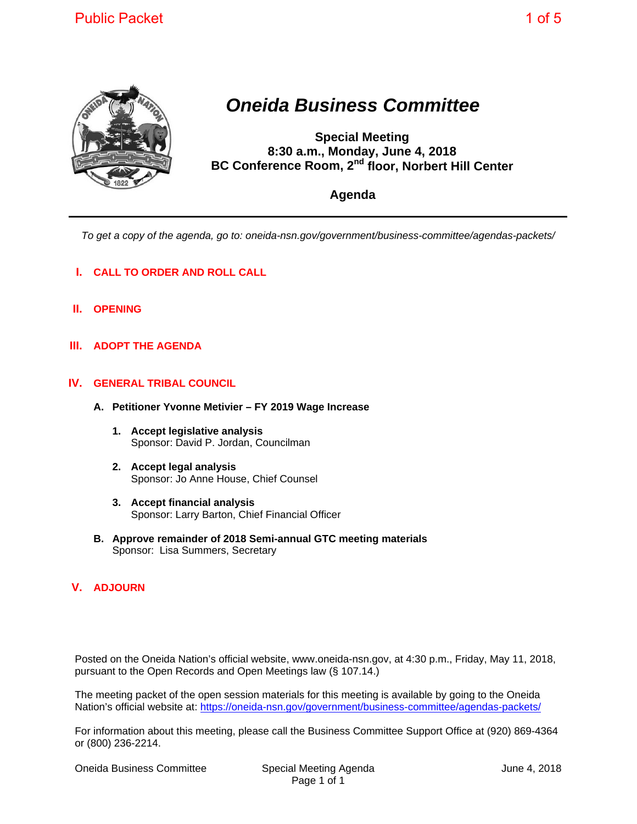

## *Oneida Business Committee*

**Special Meeting 8:30 a.m., Monday, June 4, 2018 BC Conference Room, 2nd floor, Norbert Hill Center** 

**Agenda** 

*To get a copy of the agenda, go to: oneida-nsn.gov/government/business-committee/agendas-packets/* 

- **I. CALL TO ORDER AND ROLL CALL**
- **II. OPENING**
- **III. ADOPT THE AGENDA**

## **IV. GENERAL TRIBAL COUNCIL**

- **A. Petitioner Yvonne Metivier FY 2019 Wage Increase** 
	- **1. Accept legislative analysis**  Sponsor: David P. Jordan, Councilman
	- **2. Accept legal analysis**  Sponsor: Jo Anne House, Chief Counsel
	- **3. Accept financial analysis**  Sponsor: Larry Barton, Chief Financial Officer
- **B. Approve remainder of 2018 Semi-annual GTC meeting materials**  Sponsor: Lisa Summers, Secretary

## **V. ADJOURN**

Posted on the Oneida Nation's official website, www.oneida-nsn.gov, at 4:30 p.m., Friday, May 11, 2018, pursuant to the Open Records and Open Meetings law (§ 107.14.)

The meeting packet of the open session materials for this meeting is available by going to the Oneida Nation's official website at: https://oneida-nsn.gov/government/business-committee/agendas-packets/

For information about this meeting, please call the Business Committee Support Office at (920) 869-4364 or (800) 236-2214.

Oneida Business Committee Special Meeting Agenda June 4, 2018